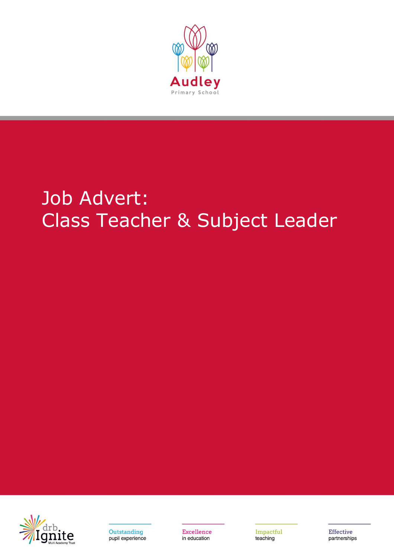

# Job Advert: Class Teacher & Subject Leader





Excellence in education

Impactful teaching

**Effective** partnerships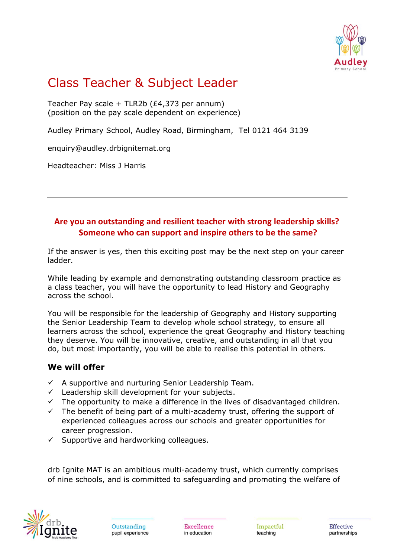

## Class Teacher & Subject Leader

Teacher Pay scale + TLR2b (£4,373 per annum) (position on the pay scale dependent on experience)

Audley Primary School, Audley Road, Birmingham, Tel 0121 464 3139

enquiry@audley.drbignitemat.org

Headteacher: Miss J Harris

### **Are you an outstanding and resilient teacher with strong leadership skills? Someone who can support and inspire others to be the same?**

If the answer is yes, then this exciting post may be the next step on your career ladder.

While leading by example and demonstrating outstanding classroom practice as a class teacher, you will have the opportunity to lead History and Geography across the school.

You will be responsible for the leadership of Geography and History supporting the Senior Leadership Team to develop whole school strategy, to ensure all learners across the school, experience the great Geography and History teaching they deserve. You will be innovative, creative, and outstanding in all that you do, but most importantly, you will be able to realise this potential in others.

#### **We will offer**

- $\checkmark$  A supportive and nurturing Senior Leadership Team.
- $\checkmark$  Leadership skill development for your subjects.
- $\checkmark$  The opportunity to make a difference in the lives of disadvantaged children.
- ✓ The benefit of being part of a multi-academy trust, offering the support of experienced colleagues across our schools and greater opportunities for career progression.
- $\checkmark$  Supportive and hardworking colleagues.

drb Ignite MAT is an ambitious multi-academy trust, which currently comprises of nine schools, and is committed to safeguarding and promoting the welfare of



Excellence in education